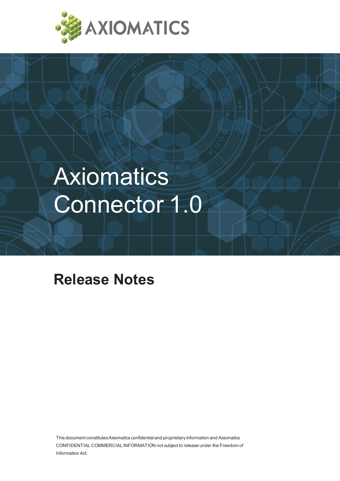

# **Axiomatics** Connector 1.0

# **Release Notes**

This document constitutes Axiomatics confidential and proprietary information and Axiomatics CONFIDENTIAL COMMERCIAL INFORMATION not subject to release under the Freedom of Information Act.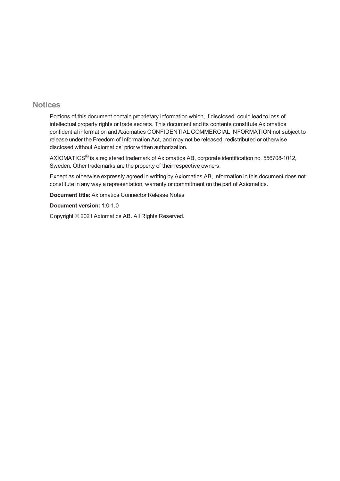#### **Notices**

Portions of this document contain proprietary information which, if disclosed, could lead to loss of intellectual property rights or trade secrets. This document and its contents constitute Axiomatics confidential information and Axiomatics CONFIDENTIAL COMMERCIAL INFORMATION not subject to release under the Freedom of Information Act, and may not be released, redistributed or otherwise disclosed without Axiomatics' prior written authorization.

AXIOMATICS® is a registered trademark of Axiomatics AB, corporate identification no. 556708-1012, Sweden. Other trademarks are the property of their respective owners.

Except as otherwise expressly agreed in writing by Axiomatics AB, information in this document does not constitute in any way a representation, warranty or commitment on the part of Axiomatics.

**Document title:** Axiomatics Connector Release Notes

**Document version:** 1.0-1.0

Copyright © 2021 Axiomatics AB. All Rights Reserved.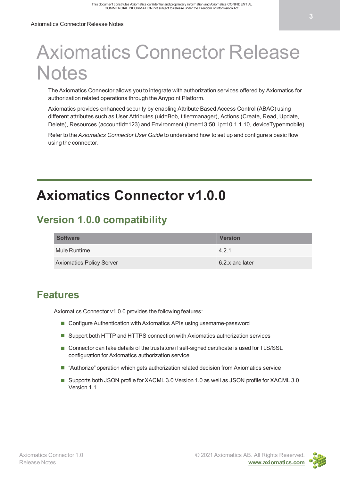# Axiomatics Connector Release **Notes**

The Axiomatics Connector allows you to integrate with authorization services offered by Axiomatics for authorization related operations through the Anypoint Platform.

Axiomatics provides enhanced security by enabling Attribute Based Access Control (ABAC) using different attributes such as User Attributes (uid=Bob, title=manager), Actions (Create, Read, Update, Delete), Resources (accountId=123) and Environment (time=13:50, ip=10.1.1.10, deviceType=mobile)

Refer to the *Axiomatics Connector User Guide* to understand how to set up and configure a basic flow using the connector.

# **Axiomatics Connector v1.0.0**

## **Version 1.0.0 compatibility**

| <b>Software</b>                 | <b>Version</b>  |
|---------------------------------|-----------------|
| Mule Runtime                    | 421             |
| <b>Axiomatics Policy Server</b> | 6.2.x and later |

### **Features**

Axiomatics Connector v1.0.0 provides the following features:

- Configure Authentication with Axiomatics APIs using username-password
- Support both HTTP and HTTPS connection with Axiomatics authorization services
- Connector can take details of the truststore if self-signed certificate is used for TLS/SSL configuration for Axiomatics authorization service
- "Authorize" operation which gets authorization related decision from Axiomatics service
- Supports both JSON profile for XACML 3.0 Version 1.0 as well as JSON profile for XACML 3.0 Version 1.1